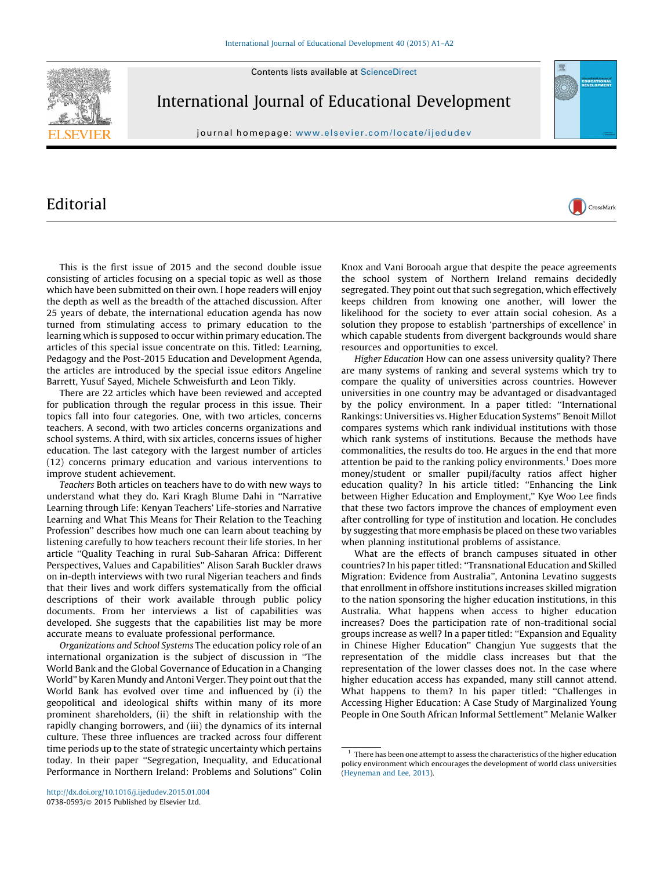Contents lists available at [ScienceDirect](http://www.sciencedirect.com/science/journal/07380593)



International Journal of Educational Development

journal homepage: www.elsevier.com/locate/ijedudev

## Editorial

This is the first issue of 2015 and the second double issue consisting of articles focusing on a special topic as well as those which have been submitted on their own. I hope readers will enjoy the depth as well as the breadth of the attached discussion. After 25 years of debate, the international education agenda has now turned from stimulating access to primary education to the learning which is supposed to occur within primary education. The articles of this special issue concentrate on this. Titled: Learning, Pedagogy and the Post-2015 Education and Development Agenda, the articles are introduced by the special issue editors Angeline Barrett, Yusuf Sayed, Michele Schweisfurth and Leon Tikly.

There are 22 articles which have been reviewed and accepted for publication through the regular process in this issue. Their topics fall into four categories. One, with two articles, concerns teachers. A second, with two articles concerns organizations and school systems. A third, with six articles, concerns issues of higher education. The last category with the largest number of articles (12) concerns primary education and various interventions to improve student achievement.

Teachers Both articles on teachers have to do with new ways to understand what they do. Kari Kragh Blume Dahi in ''Narrative Learning through Life: Kenyan Teachers' Life-stories and Narrative Learning and What This Means for Their Relation to the Teaching Profession'' describes how much one can learn about teaching by listening carefully to how teachers recount their life stories. In her article ''Quality Teaching in rural Sub-Saharan Africa: Different Perspectives, Values and Capabilities'' Alison Sarah Buckler draws on in-depth interviews with two rural Nigerian teachers and finds that their lives and work differs systematically from the official descriptions of their work available through public policy documents. From her interviews a list of capabilities was developed. She suggests that the capabilities list may be more accurate means to evaluate professional performance.

Organizations and School Systems The education policy role of an international organization is the subject of discussion in ''The World Bank and the Global Governance of Education in a Changing World'' by Karen Mundy and Antoni Verger. They point out that the World Bank has evolved over time and influenced by (i) the geopolitical and ideological shifts within many of its more prominent shareholders, (ii) the shift in relationship with the rapidly changing borrowers, and (iii) the dynamics of its internal culture. These three influences are tracked across four different time periods up to the state of strategic uncertainty which pertains today. In their paper ''Segregation, Inequality, and Educational Performance in Northern Ireland: Problems and Solutions'' Colin

Knox and Vani Borooah argue that despite the peace agreements the school system of Northern Ireland remains decidedly segregated. They point out that such segregation, which effectively keeps children from knowing one another, will lower the likelihood for the society to ever attain social cohesion. As a solution they propose to establish 'partnerships of excellence' in which capable students from divergent backgrounds would share resources and opportunities to excel.

CrossMark

Higher Education How can one assess university quality? There are many systems of ranking and several systems which try to compare the quality of universities across countries. However universities in one country may be advantaged or disadvantaged by the policy environment. In a paper titled: ''International Rankings: Universities vs. Higher Education Systems'' Benoit Millot compares systems which rank individual institutions with those which rank systems of institutions. Because the methods have commonalities, the results do too. He argues in the end that more attention be paid to the ranking policy environments.<sup>1</sup> Does more money/student or smaller pupil/faculty ratios affect higher education quality? In his article titled: ''Enhancing the Link between Higher Education and Employment,'' Kye Woo Lee finds that these two factors improve the chances of employment even after controlling for type of institution and location. He concludes by suggesting that more emphasis be placed on these two variables when planning institutional problems of assistance.

What are the effects of branch campuses situated in other countries? In his paper titled: ''Transnational Education and Skilled Migration: Evidence from Australia'', Antonina Levatino suggests that enrollment in offshore institutions increases skilled migration to the nation sponsoring the higher education institutions, in this Australia. What happens when access to higher education increases? Does the participation rate of non-traditional social groups increase as well? In a paper titled: ''Expansion and Equality in Chinese Higher Education'' Changjun Yue suggests that the representation of the middle class increases but that the representation of the lower classes does not. In the case where higher education access has expanded, many still cannot attend. What happens to them? In his paper titled: "Challenges in Accessing Higher Education: A Case Study of Marginalized Young People in One South African Informal Settlement'' Melanie Walker

 $1$  There has been one attempt to assess the characteristics of the higher education policy environment which encourages the development of world class universities [\(Heyneman](#page-1-0) and Lee, 2013).